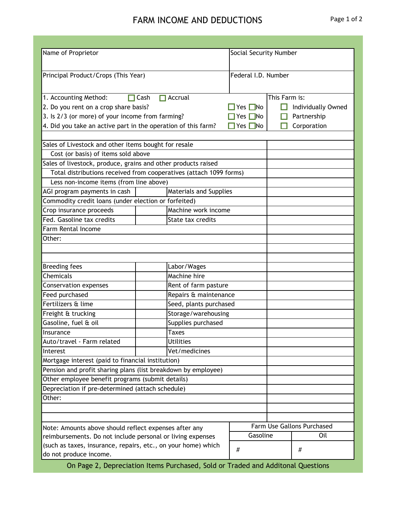## FARM INCOME AND DEDUCTIONS Page 1 of 2

| Name of Proprietor                                                 |                               | <b>Social Security Number</b> |                            |     |  |  |  |  |
|--------------------------------------------------------------------|-------------------------------|-------------------------------|----------------------------|-----|--|--|--|--|
|                                                                    |                               |                               |                            |     |  |  |  |  |
| Principal Product/Crops (This Year)                                |                               | Federal I.D. Number           |                            |     |  |  |  |  |
|                                                                    |                               |                               |                            |     |  |  |  |  |
|                                                                    | $\Box$ Accrual                |                               |                            |     |  |  |  |  |
| $\Box$ Cash<br>1. Accounting Method:                               |                               | This Farm is:                 |                            |     |  |  |  |  |
| 2. Do you rent on a crop share basis?                              | Yes $\Box$ No                 |                               | Individually Owned         |     |  |  |  |  |
| 3. Is 2/3 (or more) of your income from farming?                   | Yes $\n  No\n$                |                               | Partnership                |     |  |  |  |  |
| 4. Did you take an active part in the operation of this farm?      | Yes $\n  No\n$                |                               | Corporation                |     |  |  |  |  |
|                                                                    |                               |                               |                            |     |  |  |  |  |
| Sales of Livestock and other items bought for resale               |                               |                               |                            |     |  |  |  |  |
| Cost (or basis) of items sold above                                |                               |                               |                            |     |  |  |  |  |
| Sales of livestock, produce, grains and other products raised      |                               |                               |                            |     |  |  |  |  |
| Total distributions received from cooperatives (attach 1099 forms) |                               |                               |                            |     |  |  |  |  |
| Less non-income items (from line above)                            |                               |                               |                            |     |  |  |  |  |
| AGI program payments in cash                                       | <b>Materials and Supplies</b> |                               |                            |     |  |  |  |  |
| Commodity credit loans (under election or forfeited)               |                               |                               |                            |     |  |  |  |  |
| Crop insurance proceeds                                            | Machine work income           |                               |                            |     |  |  |  |  |
| Fed. Gasoline tax credits                                          | State tax credits             |                               |                            |     |  |  |  |  |
| Farm Rental Income                                                 |                               |                               |                            |     |  |  |  |  |
| Other:                                                             |                               |                               |                            |     |  |  |  |  |
|                                                                    |                               |                               |                            |     |  |  |  |  |
|                                                                    |                               |                               |                            |     |  |  |  |  |
| <b>Breeding fees</b>                                               | Labor/Wages                   |                               |                            |     |  |  |  |  |
| Chemicals                                                          | Machine hire                  |                               |                            |     |  |  |  |  |
| <b>Conservation expenses</b>                                       | Rent of farm pasture          |                               |                            |     |  |  |  |  |
| Feed purchased                                                     | Repairs & maintenance         |                               |                            |     |  |  |  |  |
| Fertilizers & lime                                                 | Seed, plants purchased        |                               |                            |     |  |  |  |  |
| Freight & trucking                                                 | Storage/warehousing           |                               |                            |     |  |  |  |  |
| Gasoline, fuel & oil                                               | Supplies purchased            |                               |                            |     |  |  |  |  |
| Insurance                                                          | <b>Taxes</b>                  |                               |                            |     |  |  |  |  |
| Auto/travel - Farm related                                         | <b>Utilities</b>              |                               |                            |     |  |  |  |  |
| Interest                                                           | Vet/medicines                 |                               |                            |     |  |  |  |  |
| Mortgage interest (paid to financial institution)                  |                               |                               |                            |     |  |  |  |  |
| Pension and profit sharing plans (list breakdown by employee)      |                               |                               |                            |     |  |  |  |  |
| Other employee benefit programs (submit details)                   |                               |                               |                            |     |  |  |  |  |
| Depreciation if pre-determined (attach schedule)                   |                               |                               |                            |     |  |  |  |  |
| Other:                                                             |                               |                               |                            |     |  |  |  |  |
|                                                                    |                               |                               |                            |     |  |  |  |  |
|                                                                    |                               |                               |                            |     |  |  |  |  |
| Note: Amounts above should reflect expenses after any              |                               |                               | Farm Use Gallons Purchased |     |  |  |  |  |
| reimbursements. Do not include personal or living expenses         |                               | Gasoline                      |                            | Oil |  |  |  |  |
| (such as taxes, insurance, repairs, etc., on your home) which      |                               |                               |                            |     |  |  |  |  |
| do not produce income.                                             | $\#$                          |                               | #                          |     |  |  |  |  |

On Page 2, Depreciation Items Purchased, Sold or Traded and Additonal Questions